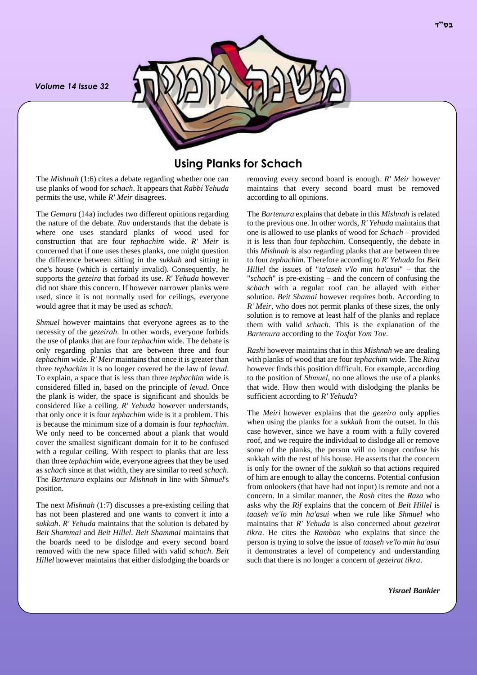*Volume 14 Issue 32*



## **Using Planks for Schach**

The *Mishnah* (1:6) cites a debate regarding whether one can use planks of wood for *schach*. It appears that *Rabbi Yehuda* permits the use, while *R' Meir* disagrees.

The *Gemara* (14a) includes two different opinions regarding the nature of the debate. *Rav* understands that the debate is where one uses standard planks of wood used for construction that are four *tephachim* wide. *R' Meir* is concerned that if one uses theses planks, one might question the difference between sitting in the *sukkah* and sitting in one's house (which is certainly invalid). Consequently, he supports the *gezeira* that forbad its use. *R' Yehuda* however did not share this concern. If however narrower planks were used, since it is not normally used for ceilings, everyone would agree that it may be used as *schach*.

*Shmuel* however maintains that everyone agrees as to the necessity of the *gezeirah*. In other words, everyone forbids the use of planks that are four *tephachim* wide. The debate is only regarding planks that are between three and four *tephachim* wide. *R' Meir* maintains that once it is greater than three *tephachim* it is no longer covered be the law of *levud*. To explain, a space that is less than three *tephachim* wide is considered filled in, based on the principle of *levud*. Once the plank is wider, the space is significant and shoulds be considered like a ceiling. *R' Yehuda* however understands, that only once it is four *tephachim* wide is it a problem. This is because the minimum size of a domain is four *tephachim*. We only need to be concerned about a plank that would cover the smallest significant domain for it to be confused with a regular ceiling. With respect to planks that are less than three *tephachim* wide, everyone agrees that they be used as *schach* since at that width, they are similar to reed *schach*. The *Bartenura* explains our *Mishnah* in line with *Shmuel*'s position.

The next *Mishnah* (1:7) discusses a pre-existing ceiling that has not been plastered and one wants to convert it into a *sukkah*. *R' Yehuda* maintains that the solution is debated by *Beit Shammai* and *Beit Hillel*. *Beit Shammai* maintains that the boards need to be dislodge and every second board removed with the new space filled with valid *schach*. *Beit Hillel* however maintains that either dislodging the boards or

removing every second board is enough. *R' Meir* however maintains that every second board must be removed according to all opinions.

The *Bartenura* explains that debate in this *Mishnah* is related to the previous one. In other words, *R' Yehuda* maintains that one is allowed to use planks of wood for *Schach* – provided it is less than four *tephachim*. Consequently, the debate in this *Mishnah* is also regarding planks that are between three to four *tephachim*. Therefore according to *R' Yehuda* for *Beit Hillel* the issues of "*ta'aseh v'lo min ha'asui*" – that the "*schach*" is pre-existing – and the concern of confusing the *schach* with a regular roof can be allayed with either solution. *Beit Shamai* however requires both. According to *R' Meir*, who does not permit planks of these sizes, the only solution is to remove at least half of the planks and replace them with valid *schach*. This is the explanation of the *Bartenura* according to the *Tosfot Yom Tov*.

*Rashi* however maintains that in this *Mishnah* we are dealing with planks of wood that are four *tephachim* wide. The *Ritva* however finds this position difficult. For example, according to the position of *Shmuel*, no one allows the use of a planks that wide. How then would with dislodging the planks be sufficient according to *R' Yehuda*?

The *Meiri* however explains that the *gezeira* only applies when using the planks for a *sukkah* from the outset. In this case however, since we have a room with a fully covered roof, and we require the individual to dislodge all or remove some of the planks, the person will no longer confuse his sukkah with the rest of his house. He asserts that the concern is only for the owner of the *sukkah* so that actions required of him are enough to allay the concerns. Potential confusion from onlookers (that have had not input) is remote and not a concern. In a similar manner, the *Rosh* cites the *Raza* who asks why the *Rif* explains that the concern of *Beit Hillel* is *taaseh ve'lo min ha'asui* when we rule like *Shmuel* who maintains that *R' Yehuda* is also concerned about *gezeirat tikra*. He cites the *Ramban* who explains that since the person is trying to solve the issue of *taaseh ve'lo min ha'asui* it demonstrates a level of competency and understanding such that there is no longer a concern of *gezeirat tikra*.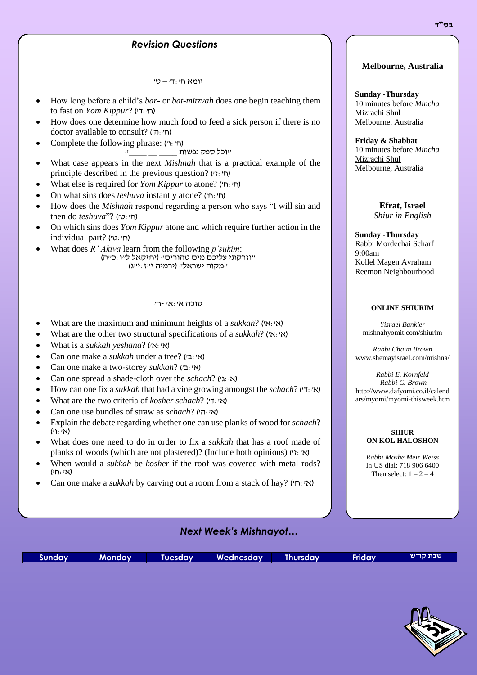# **Revision Questions** *Revision Question Questions Revision Questions*

 $\gamma$ יומא חי $-$ די

- How long before a child's *bar-* or *bat-mitzvah* does one begin teaching them to fast on *Yom Kippur*? ('ח'
- How does one determine how much food to feed a sick person if there is no doctor available to consult? (ח': ה')
- Complete the following phrase: (ח' ו')<br>'ת  $\overset{\cdot}{\Box}$ וכל ספק נפשות  $\rule{1em}{0.75mm} \rule{0.7cm}{0.75mm}$  "יוכל
- What case appears in the next *Mishnah* that is a practical example of the principle described in the previous question?  $(r_1, r_2)$
- What else is required for *Yom Kippur* to atone? )'ח:'ח)
- On what sins does *teshuva* instantly atone? )'ח:'ח)
- How does the *Mishnah* respond regarding a person who says "I will sin and then do *teshuva*"? ('ח'
- On which sins does *Yom Kippur* atone and which require further action in the individual part? (ח':ט')
- What does *R' Akiva* learn from the following *p'sukim*: "וזרקתי עליכם מים טהורים" )יחזקאל ל"ו:כ"ה( "ומקוה ישראליי (ירמיה י"ז:י"ג)

#### סוכה א':א' -ח'

- What are the maximum and minimum heights of a *sukkah*? )'א:'א)
- What are the other two structural specifications of a *sukkah*? )'א:'א)
- What is a *sukkah yeshana*? )'א:'א)
- Can one make a *sukkah* under a tree? (אי:בי)
- Can one make a two-storey *sukkah*? (אי:בי)
- Can one spread a shade-cloth over the *schach*? )'ג:'א)
- How can one fix a *sukkah* that had a vine growing amongst the *schach*? )'ד:'א)
- What are the two criteria of *kosher schach*? )'ד:'א)
- Can one use bundles of straw as *schach*? )'ה:'א)
- Explain the debate regarding whether one can use planks of wood for *schach*? )א':ו'(
- What does one need to do in order to fix a *sukkah* that has a roof made of planks of woods (which are not plastered)? (Include both opinions) (א: יז)
- When would a *sukkah* be *kosher* if the roof was covered with metal rods? )א':ח'(
- Can one make a *sukkah* by carving out a room from a stack of hay? )'ח:'א)

### **Melbourne, Australia**

**Sunday -Thursday** 10 minutes before *Mincha* Mizrachi Shul Melbourne, Australia

**Friday & Shabbat** 10 minutes before *Mincha* Mizrachi Shul Melbourne, Australia

> **Efrat, Israel** *Shiur in English*

#### **Sunday -Thursday**

Rabbi Mordechai Scharf 9:00am Kollel Magen Avraham Reemon Neighbourhood

#### **ONLINE SHIURIM**

*Yisrael Bankier* mishnahyomit.com/shiurim

*Rabbi Chaim Brown* www.shemayisrael.com/mishna/

*Rabbi E. Kornfeld Rabbi C. Brown* http://www.dafyomi.co.il/calend ars/myomi/myomi-thisweek.htm

#### **SHIUR ON KOL HALOSHON**

*Rabbi Moshe Meir Weiss* In US dial: 718 906 6400 Then select:  $1 - 2 - 4$ 

## *Next Week's Mishnayot…*

|  | Sunday   Monday   Tuesday   Wednesday   Thursday   Friday <sup> </sup> |  | שבת קודש |
|--|------------------------------------------------------------------------|--|----------|
|  |                                                                        |  |          |